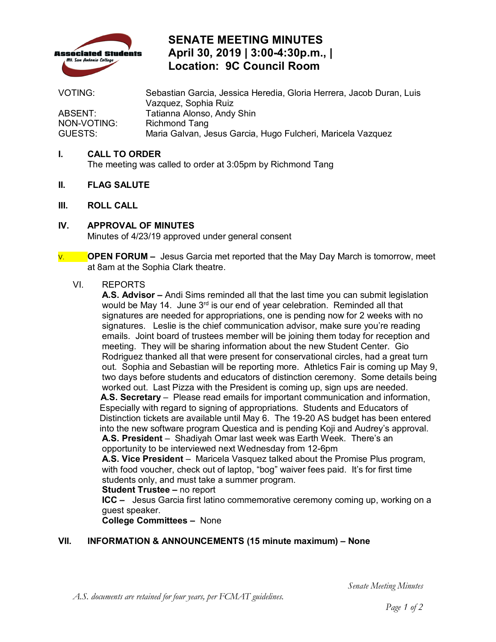

## **SENATE MEETING MINUTES April 30, 2019 | 3:00-4:30p.m., | Location: 9C Council Room**

VOTING: Sebastian Garcia, Jessica Heredia, Gloria Herrera, Jacob Duran, Luis Vazquez, Sophia Ruiz ABSENT: Tatianna Alonso, Andy Shin<br>NON-VOTING: Richmond Tang Richmond Tang GUESTS: Maria Galvan, Jesus Garcia, Hugo Fulcheri, Maricela Vazquez

### **I. CALL TO ORDER**

The meeting was called to order at 3:05pm by Richmond Tang

- **II. FLAG SALUTE**
- **III. ROLL CALL**
- **IV. APPROVAL OF MINUTES**  Minutes of 4/23/19 approved under general consent
- V. **OPEN FORUM** Jesus Garcia met reported that the May Day March is tomorrow, meet at 8am at the Sophia Clark theatre.

#### VI. REPORTS

would be May 14. June 3<sup>rd</sup> is our end of year celebration. Reminded all that signatures are needed for appropriations, one is pending now for 2 weeks with no signatures. Leslie is the chief communication advisor, make sure you're reading emails. Joint board of trustees member will be joining them today for reception and out. Sophia and Sebastian will be reporting more. Athletics Fair is coming up May 9, worked out. Last Pizza with the President is coming up, sign ups are needed. **A.S. President** – Shadiyah Omar last week was Earth Week. There's an **A.S. Advisor –** Andi Sims reminded all that the last time you can submit legislation meeting. They will be sharing information about the new Student Center. Gio Rodriguez thanked all that were present for conservational circles, had a great turn two days before students and educators of distinction ceremony. Some details being **A.S. Secretary** – Please read emails for important communication and information, Especially with regard to signing of appropriations. Students and Educators of Distinction tickets are available until May 6. The 19-20 AS budget has been entered into the new software program Questica and is pending Koji and Audrey's approval. opportunity to be interviewed next Wednesday from 12-6pm

 **A.S. Vice President** – Maricela Vasquez talked about the Promise Plus program, with food voucher, check out of laptop, "bog" waiver fees paid. It's for first time students only, and must take a summer program.

#### **Student Trustee –** no report

 **ICC –** Jesus Garcia first latino commemorative ceremony coming up, working on a guest speaker.

**College Committees –** None

### **VII. INFORMATION & ANNOUNCEMENTS (15 minute maximum) – None**